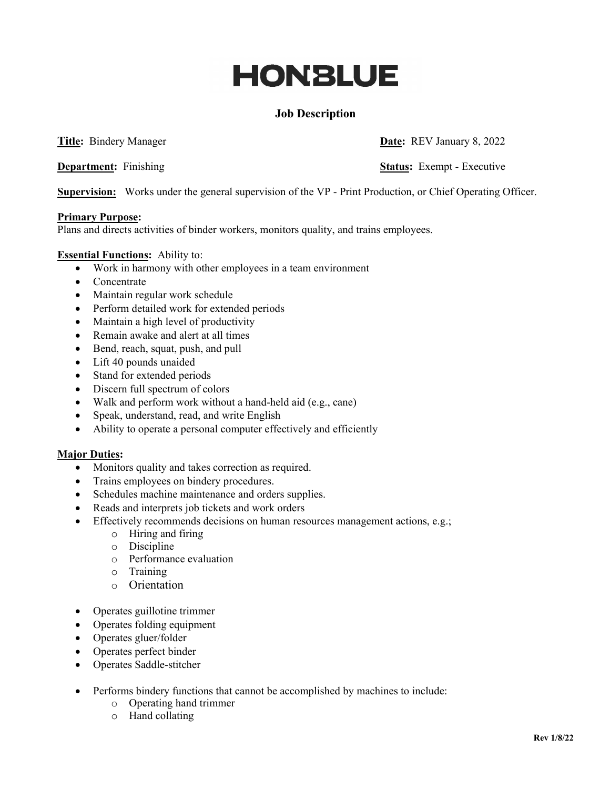# **HONBLUE**

## **Job Description**

**Department:** Finishing **Status:** Exempt - Executive

**Title:** Bindery Manager **Date: Date: REV January 8, 2022** 

**Supervision:** Works under the general supervision of the VP - Print Production, or Chief Operating Officer.

### **Primary Purpose:**

Plans and directs activities of binder workers, monitors quality, and trains employees.

### **Essential Functions:** Ability to:

- Work in harmony with other employees in a team environment
- Concentrate
- Maintain regular work schedule
- Perform detailed work for extended periods
- Maintain a high level of productivity
- Remain awake and alert at all times
- Bend, reach, squat, push, and pull
- Lift 40 pounds unaided
- Stand for extended periods
- Discern full spectrum of colors
- Walk and perform work without a hand-held aid (e.g., cane)
- Speak, understand, read, and write English
- Ability to operate a personal computer effectively and efficiently

#### **Major Duties:**

- Monitors quality and takes correction as required.
- Trains employees on bindery procedures.
- Schedules machine maintenance and orders supplies.
- Reads and interprets job tickets and work orders
- Effectively recommends decisions on human resources management actions, e.g.;
	- o Hiring and firing
	- o Discipline
	- o Performance evaluation
	- o Training
	- o Orientation
- Operates guillotine trimmer
- Operates folding equipment
- Operates gluer/folder
- Operates perfect binder
- Operates Saddle-stitcher
- Performs bindery functions that cannot be accomplished by machines to include:
	- o Operating hand trimmer
	- o Hand collating